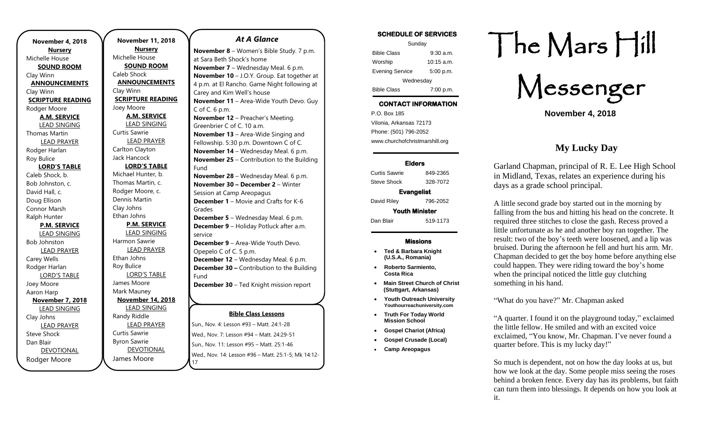**November 4, 2018 Nursery** Michelle House **SOUND ROOM** Clay Winn **ANNOUNCEMENTS** Clay Winn **SCRIPTURE READING** Rodger Moore **A.M. SERVICE** LEAD SINGING Thomas Martin LEAD PRAYER Rodger Harlan Roy Bulice **LORD'S TABLE** Caleb Shock, b. Bob Johnston, c. David Hall, c. Doug Ellison Connor Marsh Ralph Hunter **P.M. SERVICE** LEAD SINGING Bob Johnston LEAD PRAYER Carey Wells Rodger Harlan LORD'S TABLE Joey Moore Aaron Harp **November 7, 2018** LEAD SINGING Clay Johns LEAD PRAYER Steve Shock Dan Blair DEVOTIONAL

Rodger Moore

**November 11, 2018 Nursery** Michelle House **SOUND ROOM** Caleb Shock **ANNOUNCEMENTS** Clay Winn **SCRIPTURE READING** Joey Moore **A.M. SERVICE** LEAD SINGING Curtis Sawrie LEAD PRAYER Carlton Clayton Jack Hancock **LORD'S TABLE** Michael Hunter, b. Thomas Martin, c. Rodger Moore, c. Dennis Martin Clay Johns Ethan Johns **P.M. SERVICE** LEAD SINGING Harmon Sawrie LEAD PRAYER Ethan Johns Roy Bulice LORD'S TABLE James Moore Mark Mauney **November 14, 2018** LEAD SINGING Randy Riddle LEAD PRAYER Curtis Sawrie Byron Sawrie

DEVOTIONAL

17

James Moore

#### *At A Glance*

**Bible Class Lessons** Sun., Nov. 4: Lesson #93 – Matt. 24:1-28 Wed., Nov. 7: Lesson #94 – Matt. 24:29-51 **November 8** – Women's Bible Study. 7 p.m. at Sara Beth Shock's home **November 7** – Wednesday Meal. 6 p.m. **November 10** – J.O.Y. Group. Eat together at 4 p.m. at El Rancho. Game Night following at Carey and Kim Well's house **November 11** – Area-Wide Youth Devo. Guy  $C$  of  $C$ . 6 p.m. **November 12** – Preacher's Meeting. Greenbrier C of C. 10 a.m. **November 13 – Area-Wide Singing and** Fellowship. 5:30 p.m. Downtown C of C. **November 14** – Wednesday Meal. 6 p.m. **November 25** – Contribution to the Building Fund **November 28** – Wednesday Meal. 6 p.m. **November 30 – December 2** – Winter Session at Camp Areopagus **December 1** – Movie and Crafts for K-6 Grades **December 5** – Wednesday Meal. 6 p.m. **December 9** – Holiday Potluck after a.m. service **December 9** – Area-Wide Youth Devo. Opepelo C of C. 5 p.m. **December 12** – Wednesday Meal. 6 p.m. **December 30 –** Contribution to the Building Fund **December 30** – Ted Knight mission report

Sun., Nov. 11: Lesson #95 – Matt. 25:1-46 Wed., Nov. 14: Lesson #96 – Matt. 25:1-5; Mk 14:12-

### **SCHEDULE OF SERVICES**  Sunday Bible Class 9:30 a.m. Worship 10:15 a.m. Evening Service 5:00 p.m. **Wednesdav** Bible Class 7:00 p.m.

## **CONTACT INFORMATION**

. .o. Box 166<br>Vilonia, Arkansas 72173 P.O. Box 185 Phone: (501) 796-2052 www.churchofchristmarshill.org

### **Elders**

Curtis Sawrie 849-2365 Steve Shock 328-7072 **Evangelist**  David Riley 796-2052 **Youth Minister**  Dan Blair 519-1173

### **Missions**

- **Ted & Barbara Knight (U.S.A., Romania)**
- **Roberto Sarmiento, Costa Rica**
- **Main Street Church of Christ (Stuttgart, Arkansas)**
- **Youth Outreach University Youthourreachuniversity.com**
- **Truth For Today World Mission School**
- **Gospel Chariot (Africa)**
- **Gospel Crusade (Local)**
- **Camp Areopagus**

# The Mars Hill

Messenger

**November 4, 2018**

## **My Lucky Day**

Garland Chapman, principal of R. E. Lee High School in Midland, Texas, relates an experience during his days as a grade school principal.

A little second grade boy started out in the morning by falling from the bus and hitting his head on the concrete. It required three stitches to close the gash. Recess proved a little unfortunate as he and another boy ran together. The result: two of the boy's teeth were loosened, and a lip was bruised. During the afternoon he fell and hurt his arm. Mr. Chapman decided to get the boy home before anything else could happen. They were riding toward the boy's home when the principal noticed the little guy clutching something in his hand.

"What do you have?" Mr. Chapman asked

"A quarter. I found it on the playground today," exclaimed the little fellow. He smiled and with an excited voice exclaimed, "You know, Mr. Chapman. I've never found a quarter before. This is my lucky day!"

So much is dependent, not on how the day looks at us, but how we look at the day. Some people miss seeing the roses behind a broken fence. Every day has its problems, but faith can turn them into blessings. It depends on how you look at it.